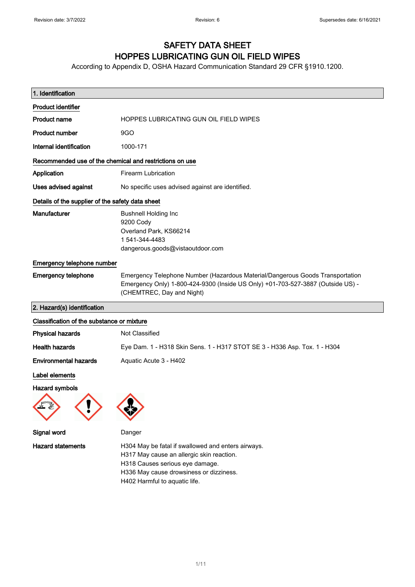## SAFETY DATA SHEET HOPPES LUBRICATING GUN OIL FIELD WIPES

According to Appendix D, OSHA Hazard Communication Standard 29 CFR §1910.1200.

| 1. Identification                                       |                                                                                                                                                                                                                |
|---------------------------------------------------------|----------------------------------------------------------------------------------------------------------------------------------------------------------------------------------------------------------------|
| <b>Product identifier</b>                               |                                                                                                                                                                                                                |
| <b>Product name</b>                                     | HOPPES LUBRICATING GUN OIL FIELD WIPES                                                                                                                                                                         |
| <b>Product number</b>                                   | 9GO                                                                                                                                                                                                            |
| Internal identification                                 | 1000-171                                                                                                                                                                                                       |
| Recommended use of the chemical and restrictions on use |                                                                                                                                                                                                                |
| Application                                             | <b>Firearm Lubrication</b>                                                                                                                                                                                     |
| Uses advised against                                    | No specific uses advised against are identified.                                                                                                                                                               |
| Details of the supplier of the safety data sheet        |                                                                                                                                                                                                                |
| Manufacturer                                            | <b>Bushnell Holding Inc</b><br>9200 Cody<br>Overland Park, KS66214<br>1 541-344-4483<br>dangerous.goods@vistaoutdoor.com                                                                                       |
| Emergency telephone number                              |                                                                                                                                                                                                                |
| <b>Emergency telephone</b>                              | Emergency Telephone Number (Hazardous Material/Dangerous Goods Transportation<br>Emergency Only) 1-800-424-9300 (Inside US Only) +01-703-527-3887 (Outside US) -<br>(CHEMTREC, Day and Night)                  |
| 2. Hazard(s) identification                             |                                                                                                                                                                                                                |
| Classification of the substance or mixture              |                                                                                                                                                                                                                |
| <b>Physical hazards</b>                                 | <b>Not Classified</b>                                                                                                                                                                                          |
| <b>Health hazards</b>                                   | Eye Dam. 1 - H318 Skin Sens. 1 - H317 STOT SE 3 - H336 Asp. Tox. 1 - H304                                                                                                                                      |
| <b>Environmental hazards</b>                            | Aquatic Acute 3 - H402                                                                                                                                                                                         |
| Label elements                                          |                                                                                                                                                                                                                |
| <b>Hazard symbols</b>                                   |                                                                                                                                                                                                                |
|                                                         |                                                                                                                                                                                                                |
| Signal word                                             | Danger                                                                                                                                                                                                         |
| <b>Hazard statements</b>                                | H304 May be fatal if swallowed and enters airways.<br>H317 May cause an allergic skin reaction.<br>H318 Causes serious eye damage.<br>H336 May cause drowsiness or dizziness.<br>H402 Harmful to aquatic life. |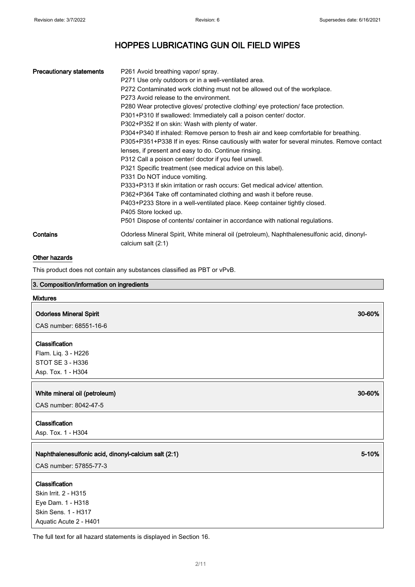| <b>Precautionary statements</b> | P261 Avoid breathing vapor/ spray.<br>P271 Use only outdoors or in a well-ventilated area.<br>P272 Contaminated work clothing must not be allowed out of the workplace.<br>P273 Avoid release to the environment.<br>P280 Wear protective gloves/ protective clothing/ eye protection/ face protection.<br>P301+P310 If swallowed: Immediately call a poison center/ doctor.<br>P302+P352 If on skin: Wash with plenty of water.<br>P304+P340 If inhaled: Remove person to fresh air and keep comfortable for breathing.<br>P305+P351+P338 If in eyes: Rinse cautiously with water for several minutes. Remove contact<br>lenses, if present and easy to do. Continue rinsing.<br>P312 Call a poison center/ doctor if you feel unwell.<br>P321 Specific treatment (see medical advice on this label).<br>P331 Do NOT induce vomiting.<br>P333+P313 If skin irritation or rash occurs: Get medical advice/attention.<br>P362+P364 Take off contaminated clothing and wash it before reuse.<br>P403+P233 Store in a well-ventilated place. Keep container tightly closed.<br>P405 Store locked up.<br>P501 Dispose of contents/ container in accordance with national regulations. |
|---------------------------------|-----------------------------------------------------------------------------------------------------------------------------------------------------------------------------------------------------------------------------------------------------------------------------------------------------------------------------------------------------------------------------------------------------------------------------------------------------------------------------------------------------------------------------------------------------------------------------------------------------------------------------------------------------------------------------------------------------------------------------------------------------------------------------------------------------------------------------------------------------------------------------------------------------------------------------------------------------------------------------------------------------------------------------------------------------------------------------------------------------------------------------------------------------------------------------------|
| Contains                        | Odorless Mineral Spirit, White mineral oil (petroleum), Naphthalenesulfonic acid, dinonyl-<br>calcium salt (2:1)                                                                                                                                                                                                                                                                                                                                                                                                                                                                                                                                                                                                                                                                                                                                                                                                                                                                                                                                                                                                                                                                  |

### Other hazards

This product does not contain any substances classified as PBT or vPvB.

| 3. Composition/information on ingredients            |        |
|------------------------------------------------------|--------|
| <b>Mixtures</b>                                      |        |
| <b>Odorless Mineral Spirit</b>                       | 30-60% |
| CAS number: 68551-16-6                               |        |
| Classification                                       |        |
| Flam. Liq. 3 - H226                                  |        |
| STOT SE 3 - H336                                     |        |
| Asp. Tox. 1 - H304                                   |        |
|                                                      | 30-60% |
| White mineral oil (petroleum)                        |        |
| CAS number: 8042-47-5                                |        |
| Classification                                       |        |
| Asp. Tox. 1 - H304                                   |        |
|                                                      |        |
| Naphthalenesulfonic acid, dinonyl-calcium salt (2:1) | 5-10%  |
| CAS number: 57855-77-3                               |        |
| Classification                                       |        |
| Skin Irrit. 2 - H315                                 |        |
| Eye Dam. 1 - H318                                    |        |
| Skin Sens. 1 - H317                                  |        |
| Aquatic Acute 2 - H401                               |        |

The full text for all hazard statements is displayed in Section 16.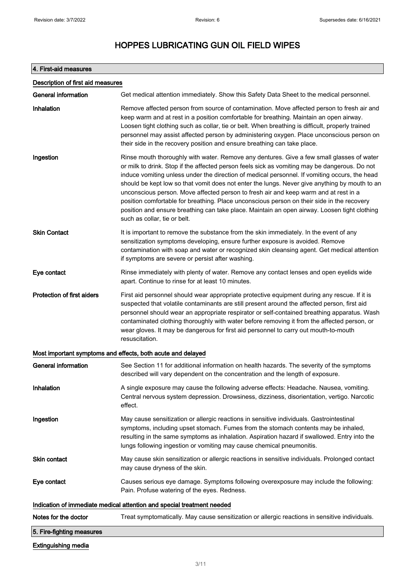## 4. First-aid measures

| Description of first aid measures |                                                                                                                                                                                                                                                                                                                                                                                                                                                                                                                                                                                                                                                                                                                    |
|-----------------------------------|--------------------------------------------------------------------------------------------------------------------------------------------------------------------------------------------------------------------------------------------------------------------------------------------------------------------------------------------------------------------------------------------------------------------------------------------------------------------------------------------------------------------------------------------------------------------------------------------------------------------------------------------------------------------------------------------------------------------|
| <b>General information</b>        | Get medical attention immediately. Show this Safety Data Sheet to the medical personnel.                                                                                                                                                                                                                                                                                                                                                                                                                                                                                                                                                                                                                           |
| Inhalation                        | Remove affected person from source of contamination. Move affected person to fresh air and<br>keep warm and at rest in a position comfortable for breathing. Maintain an open airway.<br>Loosen tight clothing such as collar, tie or belt. When breathing is difficult, properly trained<br>personnel may assist affected person by administering oxygen. Place unconscious person on<br>their side in the recovery position and ensure breathing can take place.                                                                                                                                                                                                                                                 |
| Ingestion                         | Rinse mouth thoroughly with water. Remove any dentures. Give a few small glasses of water<br>or milk to drink. Stop if the affected person feels sick as vomiting may be dangerous. Do not<br>induce vomiting unless under the direction of medical personnel. If vomiting occurs, the head<br>should be kept low so that vomit does not enter the lungs. Never give anything by mouth to an<br>unconscious person. Move affected person to fresh air and keep warm and at rest in a<br>position comfortable for breathing. Place unconscious person on their side in the recovery<br>position and ensure breathing can take place. Maintain an open airway. Loosen tight clothing<br>such as collar, tie or belt. |
| <b>Skin Contact</b>               | It is important to remove the substance from the skin immediately. In the event of any<br>sensitization symptoms developing, ensure further exposure is avoided. Remove<br>contamination with soap and water or recognized skin cleansing agent. Get medical attention<br>if symptoms are severe or persist after washing.                                                                                                                                                                                                                                                                                                                                                                                         |
| Eye contact                       | Rinse immediately with plenty of water. Remove any contact lenses and open eyelids wide<br>apart. Continue to rinse for at least 10 minutes.                                                                                                                                                                                                                                                                                                                                                                                                                                                                                                                                                                       |
| <b>Protection of first aiders</b> | First aid personnel should wear appropriate protective equipment during any rescue. If it is<br>suspected that volatile contaminants are still present around the affected person, first aid<br>personnel should wear an appropriate respirator or self-contained breathing apparatus. Wash<br>contaminated clothing thoroughly with water before removing it from the affected person, or<br>wear gloves. It may be dangerous for first aid personnel to carry out mouth-to-mouth<br>resuscitation.                                                                                                                                                                                                               |
|                                   | Most important symptoms and effects, both acute and delayed                                                                                                                                                                                                                                                                                                                                                                                                                                                                                                                                                                                                                                                        |
| <b>General information</b>        | See Section 11 for additional information on health hazards. The severity of the symptoms<br>described will vary dependent on the concentration and the length of exposure.                                                                                                                                                                                                                                                                                                                                                                                                                                                                                                                                        |
| Inhalation                        | A single exposure may cause the following adverse effects: Headache. Nausea, vomiting.<br>Central nervous system depression. Drowsiness, dizziness, disorientation, vertigo. Narcotic<br>effect.                                                                                                                                                                                                                                                                                                                                                                                                                                                                                                                   |
| Ingestion                         | May cause sensitization or allergic reactions in sensitive individuals. Gastrointestinal<br>symptoms, including upset stomach. Fumes from the stomach contents may be inhaled,<br>resulting in the same symptoms as inhalation. Aspiration hazard if swallowed. Entry into the<br>lungs following ingestion or vomiting may cause chemical pneumonitis.                                                                                                                                                                                                                                                                                                                                                            |
| Skin contact                      | May cause skin sensitization or allergic reactions in sensitive individuals. Prolonged contact<br>may cause dryness of the skin.                                                                                                                                                                                                                                                                                                                                                                                                                                                                                                                                                                                   |
| Eye contact                       | Causes serious eye damage. Symptoms following overexposure may include the following:<br>Pain. Profuse watering of the eyes. Redness.                                                                                                                                                                                                                                                                                                                                                                                                                                                                                                                                                                              |
|                                   | Indication of immediate medical attention and special treatment needed                                                                                                                                                                                                                                                                                                                                                                                                                                                                                                                                                                                                                                             |
| Notes for the doctor              | Treat symptomatically. May cause sensitization or allergic reactions in sensitive individuals.                                                                                                                                                                                                                                                                                                                                                                                                                                                                                                                                                                                                                     |
| 5. Fire-fighting measures         |                                                                                                                                                                                                                                                                                                                                                                                                                                                                                                                                                                                                                                                                                                                    |
| <b>Extinguishing media</b>        |                                                                                                                                                                                                                                                                                                                                                                                                                                                                                                                                                                                                                                                                                                                    |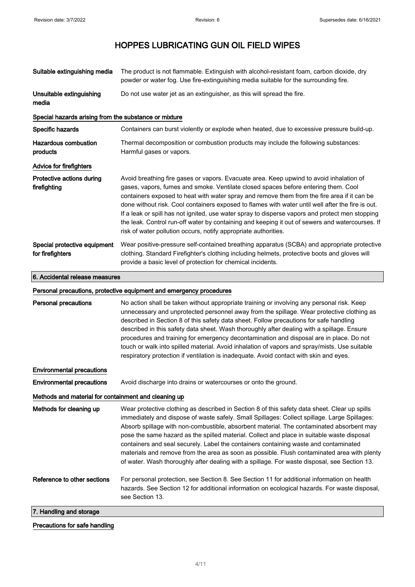| Suitable extinguishing media                          | The product is not flammable. Extinguish with alcohol-resistant foam, carbon dioxide, dry<br>powder or water fog. Use fire-extinguishing media suitable for the surrounding fire.                                                                                                                                                                                                                                                                                                                                                                                                                                                                                     |
|-------------------------------------------------------|-----------------------------------------------------------------------------------------------------------------------------------------------------------------------------------------------------------------------------------------------------------------------------------------------------------------------------------------------------------------------------------------------------------------------------------------------------------------------------------------------------------------------------------------------------------------------------------------------------------------------------------------------------------------------|
| Unsuitable extinguishing<br>media                     | Do not use water jet as an extinguisher, as this will spread the fire.                                                                                                                                                                                                                                                                                                                                                                                                                                                                                                                                                                                                |
| Special hazards arising from the substance or mixture |                                                                                                                                                                                                                                                                                                                                                                                                                                                                                                                                                                                                                                                                       |
| Specific hazards                                      | Containers can burst violently or explode when heated, due to excessive pressure build-up.                                                                                                                                                                                                                                                                                                                                                                                                                                                                                                                                                                            |
| <b>Hazardous combustion</b><br>products               | Thermal decomposition or combustion products may include the following substances:<br>Harmful gases or vapors.                                                                                                                                                                                                                                                                                                                                                                                                                                                                                                                                                        |
| <b>Advice for firefighters</b>                        |                                                                                                                                                                                                                                                                                                                                                                                                                                                                                                                                                                                                                                                                       |
| Protective actions during<br>firefighting             | Avoid breathing fire gases or vapors. Evacuate area. Keep upwind to avoid inhalation of<br>gases, vapors, fumes and smoke. Ventilate closed spaces before entering them. Cool<br>containers exposed to heat with water spray and remove them from the fire area if it can be<br>done without risk. Cool containers exposed to flames with water until well after the fire is out.<br>If a leak or spill has not ignited, use water spray to disperse vapors and protect men stopping<br>the leak. Control run-off water by containing and keeping it out of sewers and watercourses. If<br>risk of water pollution occurs, notify appropriate authorities.            |
| Special protective equipment<br>for firefighters      | Wear positive-pressure self-contained breathing apparatus (SCBA) and appropriate protective<br>clothing. Standard Firefighter's clothing including helmets, protective boots and gloves will<br>provide a basic level of protection for chemical incidents.                                                                                                                                                                                                                                                                                                                                                                                                           |
| 6. Accidental release measures                        |                                                                                                                                                                                                                                                                                                                                                                                                                                                                                                                                                                                                                                                                       |
|                                                       | Personal precautions, protective equipment and emergency procedures                                                                                                                                                                                                                                                                                                                                                                                                                                                                                                                                                                                                   |
| <b>Personal precautions</b>                           | No action shall be taken without appropriate training or involving any personal risk. Keep<br>unnecessary and unprotected personnel away from the spillage. Wear protective clothing as<br>described in Section 8 of this safety data sheet. Follow precautions for safe handling<br>described in this safety data sheet. Wash thoroughly after dealing with a spillage. Ensure<br>procedures and training for emergency decontamination and disposal are in place. Do not<br>touch or walk into spilled material. Avoid inhalation of vapors and spray/mists. Use suitable<br>respiratory protection if ventilation is inadequate. Avoid contact with skin and eyes. |

Environmental precautions

Environmental precautions Avoid discharge into drains or watercourses or onto the ground.

see Section 13.

#### Methods and material for containment and cleaning up

Methods for cleaning up Wear protective clothing as described in Section 8 of this safety data sheet. Clear up spills immediately and dispose of waste safely. Small Spillages: Collect spillage. Large Spillages: Absorb spillage with non-combustible, absorbent material. The contaminated absorbent may pose the same hazard as the spilled material. Collect and place in suitable waste disposal containers and seal securely. Label the containers containing waste and contaminated materials and remove from the area as soon as possible. Flush contaminated area with plenty of water. Wash thoroughly after dealing with a spillage. For waste disposal, see Section 13. Reference to other sections For personal protection, see Section 8. See Section 11 for additional information on health

hazards. See Section 12 for additional information on ecological hazards. For waste disposal,

7. Handling and storage

## Precautions for safe handling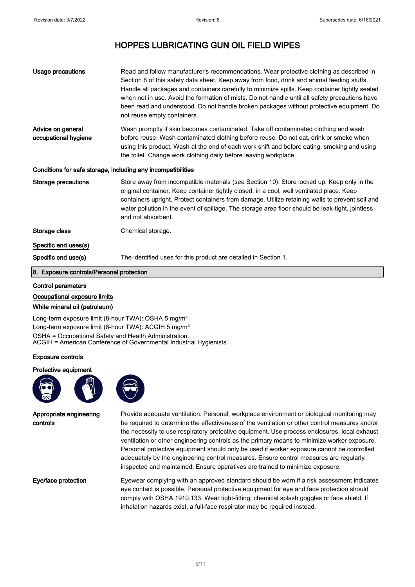| <b>Usage precautions</b>                                     | Read and follow manufacturer's recommendations. Wear protective clothing as described in<br>Section 8 of this safety data sheet. Keep away from food, drink and animal feeding stuffs.<br>Handle all packages and containers carefully to minimize spills. Keep container tightly sealed<br>when not in use. Avoid the formation of mists. Do not handle until all safety precautions have<br>been read and understood. Do not handle broken packages without protective equipment. Do<br>not reuse empty containers. |  |
|--------------------------------------------------------------|-----------------------------------------------------------------------------------------------------------------------------------------------------------------------------------------------------------------------------------------------------------------------------------------------------------------------------------------------------------------------------------------------------------------------------------------------------------------------------------------------------------------------|--|
| Advice on general<br>occupational hygiene                    | Wash promptly if skin becomes contaminated. Take off contaminated clothing and wash<br>before reuse. Wash contaminated clothing before reuse. Do not eat, drink or smoke when<br>using this product. Wash at the end of each work shift and before eating, smoking and using<br>the toilet. Change work clothing daily before leaving workplace.                                                                                                                                                                      |  |
| Conditions for safe storage, including any incompatibilities |                                                                                                                                                                                                                                                                                                                                                                                                                                                                                                                       |  |
| Storage precautions                                          | Store away from incompatible materials (see Section 10). Store locked up. Keep only in the<br>original container. Keep container tightly closed, in a cool, well ventilated place. Keep<br>containers upright. Protect containers from damage. Utilize retaining walls to prevent soil and<br>water pollution in the event of spillage. The storage area floor should be leak-tight, jointless<br>and not absorbent.                                                                                                  |  |
| Storage class                                                | Chemical storage.                                                                                                                                                                                                                                                                                                                                                                                                                                                                                                     |  |
| Specific end uses(s)                                         |                                                                                                                                                                                                                                                                                                                                                                                                                                                                                                                       |  |
| Specific end use(s)                                          | The identified uses for this product are detailed in Section 1.                                                                                                                                                                                                                                                                                                                                                                                                                                                       |  |

#### 8. Exposure controls/Personal protection

#### Control parameters

Occupational exposure limits

#### White mineral oil (petroleum)

Long-term exposure limit (8-hour TWA): OSHA 5 mg/m<sup>3</sup> Long-term exposure limit (8-hour TWA): ACGIH 5 mg/m<sup>3</sup> OSHA = Occupational Safety and Health Administration. ACGIH = American Conference of Governmental Industrial Hygienists.

#### Exposure controls

Protective equipment





Appropriate engineering controls

Provide adequate ventilation. Personal, workplace environment or biological monitoring may be required to determine the effectiveness of the ventilation or other control measures and/or the necessity to use respiratory protective equipment. Use process enclosures, local exhaust ventilation or other engineering controls as the primary means to minimize worker exposure. Personal protective equipment should only be used if worker exposure cannot be controlled adequately by the engineering control measures. Ensure control measures are regularly inspected and maintained. Ensure operatives are trained to minimize exposure.

Eye/face protection Eyewear complying with an approved standard should be worn if a risk assessment indicates eye contact is possible. Personal protective equipment for eye and face protection should comply with OSHA 1910.133. Wear tight-fitting, chemical splash goggles or face shield. If inhalation hazards exist, a full-face respirator may be required instead.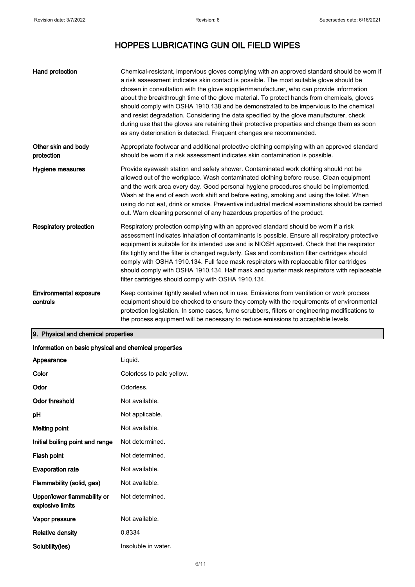| Hand protection                           | Chemical-resistant, impervious gloves complying with an approved standard should be worn if<br>a risk assessment indicates skin contact is possible. The most suitable glove should be<br>chosen in consultation with the glove supplier/manufacturer, who can provide information<br>about the breakthrough time of the glove material. To protect hands from chemicals, gloves<br>should comply with OSHA 1910.138 and be demonstrated to be impervious to the chemical<br>and resist degradation. Considering the data specified by the glove manufacturer, check<br>during use that the gloves are retaining their protective properties and change them as soon<br>as any deterioration is detected. Frequent changes are recommended. |
|-------------------------------------------|---------------------------------------------------------------------------------------------------------------------------------------------------------------------------------------------------------------------------------------------------------------------------------------------------------------------------------------------------------------------------------------------------------------------------------------------------------------------------------------------------------------------------------------------------------------------------------------------------------------------------------------------------------------------------------------------------------------------------------------------|
| Other skin and body<br>protection         | Appropriate footwear and additional protective clothing complying with an approved standard<br>should be worn if a risk assessment indicates skin contamination is possible.                                                                                                                                                                                                                                                                                                                                                                                                                                                                                                                                                                |
| Hygiene measures                          | Provide eyewash station and safety shower. Contaminated work clothing should not be<br>allowed out of the workplace. Wash contaminated clothing before reuse. Clean equipment<br>and the work area every day. Good personal hygiene procedures should be implemented.<br>Wash at the end of each work shift and before eating, smoking and using the toilet. When<br>using do not eat, drink or smoke. Preventive industrial medical examinations should be carried<br>out. Warn cleaning personnel of any hazardous properties of the product.                                                                                                                                                                                             |
| <b>Respiratory protection</b>             | Respiratory protection complying with an approved standard should be worn if a risk<br>assessment indicates inhalation of contaminants is possible. Ensure all respiratory protective<br>equipment is suitable for its intended use and is NIOSH approved. Check that the respirator<br>fits tightly and the filter is changed regularly. Gas and combination filter cartridges should<br>comply with OSHA 1910.134. Full face mask respirators with replaceable filter cartridges<br>should comply with OSHA 1910.134. Half mask and quarter mask respirators with replaceable<br>filter cartridges should comply with OSHA 1910.134.                                                                                                      |
| <b>Environmental exposure</b><br>controls | Keep container tightly sealed when not in use. Emissions from ventilation or work process<br>equipment should be checked to ensure they comply with the requirements of environmental<br>protection legislation. In some cases, fume scrubbers, filters or engineering modifications to<br>the process equipment will be necessary to reduce emissions to acceptable levels.                                                                                                                                                                                                                                                                                                                                                                |

## 9. Physical and chemical properties

### Information on basic physical and chemical properties

| Appearance                                      | Liquid.                   |
|-------------------------------------------------|---------------------------|
| Color                                           | Colorless to pale yellow. |
| Odor                                            | Odorless.                 |
| Odor threshold                                  | Not available.            |
| рH                                              | Not applicable.           |
| <b>Melting point</b>                            | Not available.            |
| Initial boiling point and range                 | Not determined.           |
| Flash point                                     | Not determined.           |
| <b>Evaporation rate</b>                         | Not available.            |
| Flammability (solid, gas)                       | Not available.            |
| Upper/lower flammability or<br>explosive limits | Not determined.           |
| Vapor pressure                                  | Not available.            |
| Relative density                                | 0.8334                    |
| Solubility(ies)                                 | Insoluble in water.       |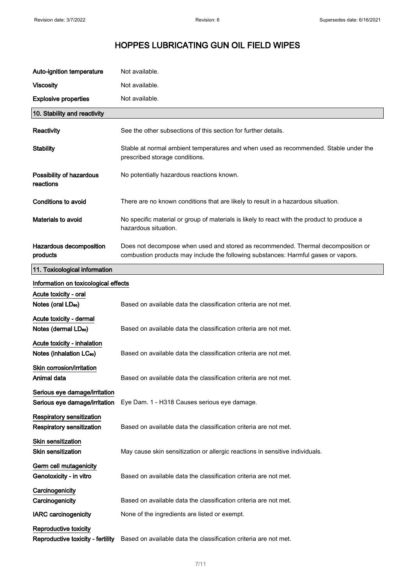| Auto-ignition temperature                                            | Not available.                                                                                                                                                         |
|----------------------------------------------------------------------|------------------------------------------------------------------------------------------------------------------------------------------------------------------------|
| <b>Viscosity</b>                                                     | Not available.                                                                                                                                                         |
| <b>Explosive properties</b>                                          | Not available.                                                                                                                                                         |
| 10. Stability and reactivity                                         |                                                                                                                                                                        |
| Reactivity                                                           | See the other subsections of this section for further details.                                                                                                         |
| <b>Stability</b>                                                     | Stable at normal ambient temperatures and when used as recommended. Stable under the<br>prescribed storage conditions.                                                 |
| Possibility of hazardous<br>reactions                                | No potentially hazardous reactions known.                                                                                                                              |
| <b>Conditions to avoid</b>                                           | There are no known conditions that are likely to result in a hazardous situation.                                                                                      |
| Materials to avoid                                                   | No specific material or group of materials is likely to react with the product to produce a<br>hazardous situation.                                                    |
| Hazardous decomposition<br>products                                  | Does not decompose when used and stored as recommended. Thermal decomposition or<br>combustion products may include the following substances: Harmful gases or vapors. |
| 11. Toxicological information                                        |                                                                                                                                                                        |
| Information on toxicological effects                                 |                                                                                                                                                                        |
| Acute toxicity - oral<br>Notes (oral LD <sub>50</sub> )              | Based on available data the classification criteria are not met.                                                                                                       |
| Acute toxicity - dermal<br>Notes (dermal LD <sub>50</sub> )          | Based on available data the classification criteria are not met.                                                                                                       |
| Acute toxicity - inhalation<br>Notes (inhalation LC <sub>50</sub> )  | Based on available data the classification criteria are not met.                                                                                                       |
| Skin corrosion/irritation<br>Animal data                             | Based on available data the classification criteria are not met.                                                                                                       |
| Serious eye damage/irritation<br>Serious eye damage/irritation       | Eye Dam. 1 - H318 Causes serious eye damage.                                                                                                                           |
| <b>Respiratory sensitization</b><br><b>Respiratory sensitization</b> | Based on available data the classification criteria are not met.                                                                                                       |
| Skin sensitization<br><b>Skin sensitization</b>                      | May cause skin sensitization or allergic reactions in sensitive individuals.                                                                                           |
| Germ cell mutagenicity<br>Genotoxicity - in vitro                    | Based on available data the classification criteria are not met.                                                                                                       |
| Carcinogenicity<br>Carcinogenicity                                   | Based on available data the classification criteria are not met.                                                                                                       |
| <b>IARC</b> carcinogenicity                                          | None of the ingredients are listed or exempt.                                                                                                                          |
| Reproductive toxicity<br>Reproductive toxicity - fertility           | Based on available data the classification criteria are not met.                                                                                                       |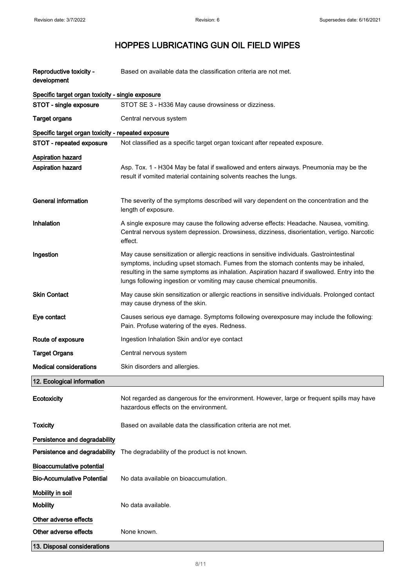| Reproductive toxicity -<br>development             | Based on available data the classification criteria are not met.                                                                                                                                                                                                                                                                                        |
|----------------------------------------------------|---------------------------------------------------------------------------------------------------------------------------------------------------------------------------------------------------------------------------------------------------------------------------------------------------------------------------------------------------------|
| Specific target organ toxicity - single exposure   |                                                                                                                                                                                                                                                                                                                                                         |
| STOT - single exposure                             | STOT SE 3 - H336 May cause drowsiness or dizziness.                                                                                                                                                                                                                                                                                                     |
| <b>Target organs</b>                               | Central nervous system                                                                                                                                                                                                                                                                                                                                  |
| Specific target organ toxicity - repeated exposure |                                                                                                                                                                                                                                                                                                                                                         |
| STOT - repeated exposure                           | Not classified as a specific target organ toxicant after repeated exposure.                                                                                                                                                                                                                                                                             |
| <b>Aspiration hazard</b>                           |                                                                                                                                                                                                                                                                                                                                                         |
| <b>Aspiration hazard</b>                           | Asp. Tox. 1 - H304 May be fatal if swallowed and enters airways. Pneumonia may be the<br>result if vomited material containing solvents reaches the lungs.                                                                                                                                                                                              |
| <b>General information</b>                         | The severity of the symptoms described will vary dependent on the concentration and the<br>length of exposure.                                                                                                                                                                                                                                          |
| Inhalation                                         | A single exposure may cause the following adverse effects: Headache. Nausea, vomiting.<br>Central nervous system depression. Drowsiness, dizziness, disorientation, vertigo. Narcotic<br>effect.                                                                                                                                                        |
| Ingestion                                          | May cause sensitization or allergic reactions in sensitive individuals. Gastrointestinal<br>symptoms, including upset stomach. Fumes from the stomach contents may be inhaled,<br>resulting in the same symptoms as inhalation. Aspiration hazard if swallowed. Entry into the<br>lungs following ingestion or vomiting may cause chemical pneumonitis. |
| <b>Skin Contact</b>                                | May cause skin sensitization or allergic reactions in sensitive individuals. Prolonged contact<br>may cause dryness of the skin.                                                                                                                                                                                                                        |
| Eye contact                                        | Causes serious eye damage. Symptoms following overexposure may include the following:<br>Pain. Profuse watering of the eyes. Redness.                                                                                                                                                                                                                   |
| Route of exposure                                  | Ingestion Inhalation Skin and/or eye contact                                                                                                                                                                                                                                                                                                            |
| <b>Target Organs</b>                               | Central nervous system                                                                                                                                                                                                                                                                                                                                  |
| <b>Medical considerations</b>                      | Skin disorders and allergies.                                                                                                                                                                                                                                                                                                                           |
| 12. Ecological information                         |                                                                                                                                                                                                                                                                                                                                                         |
| Ecotoxicity                                        | Not regarded as dangerous for the environment. However, large or frequent spills may have<br>hazardous effects on the environment.                                                                                                                                                                                                                      |
| <b>Toxicity</b>                                    | Based on available data the classification criteria are not met.                                                                                                                                                                                                                                                                                        |
| Persistence and degradability                      |                                                                                                                                                                                                                                                                                                                                                         |
| Persistence and degradability                      | The degradability of the product is not known.                                                                                                                                                                                                                                                                                                          |
| <b>Bioaccumulative potential</b>                   |                                                                                                                                                                                                                                                                                                                                                         |
| <b>Bio-Accumulative Potential</b>                  | No data available on bioaccumulation.                                                                                                                                                                                                                                                                                                                   |
| Mobility in soil                                   |                                                                                                                                                                                                                                                                                                                                                         |
| <b>Mobility</b>                                    | No data available.                                                                                                                                                                                                                                                                                                                                      |
| Other adverse effects                              |                                                                                                                                                                                                                                                                                                                                                         |
| Other adverse effects                              | None known.                                                                                                                                                                                                                                                                                                                                             |
| 13. Disposal considerations                        |                                                                                                                                                                                                                                                                                                                                                         |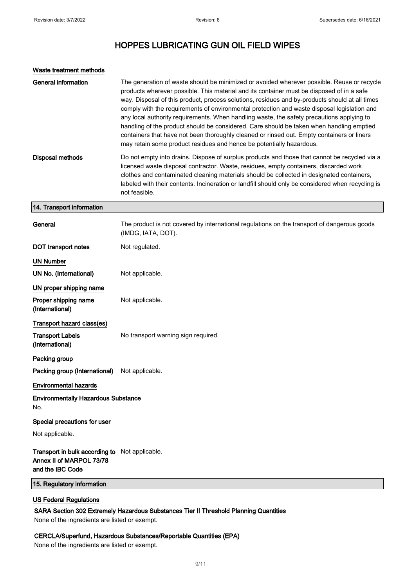| Waste treatment methods                                                                        |                                                                                                                                                                                                                                                                                                                                                                                                                                                                                                                                                                                                                                                                                                                                                         |
|------------------------------------------------------------------------------------------------|---------------------------------------------------------------------------------------------------------------------------------------------------------------------------------------------------------------------------------------------------------------------------------------------------------------------------------------------------------------------------------------------------------------------------------------------------------------------------------------------------------------------------------------------------------------------------------------------------------------------------------------------------------------------------------------------------------------------------------------------------------|
| <b>General information</b>                                                                     | The generation of waste should be minimized or avoided wherever possible. Reuse or recycle<br>products wherever possible. This material and its container must be disposed of in a safe<br>way. Disposal of this product, process solutions, residues and by-products should at all times<br>comply with the requirements of environmental protection and waste disposal legislation and<br>any local authority requirements. When handling waste, the safety precautions applying to<br>handling of the product should be considered. Care should be taken when handling emptied<br>containers that have not been thoroughly cleaned or rinsed out. Empty containers or liners<br>may retain some product residues and hence be potentially hazardous. |
| <b>Disposal methods</b>                                                                        | Do not empty into drains. Dispose of surplus products and those that cannot be recycled via a<br>licensed waste disposal contractor. Waste, residues, empty containers, discarded work<br>clothes and contaminated cleaning materials should be collected in designated containers,<br>labeled with their contents. Incineration or landfill should only be considered when recycling is<br>not feasible.                                                                                                                                                                                                                                                                                                                                               |
| 14. Transport information                                                                      |                                                                                                                                                                                                                                                                                                                                                                                                                                                                                                                                                                                                                                                                                                                                                         |
| General                                                                                        | The product is not covered by international regulations on the transport of dangerous goods<br>(IMDG, IATA, DOT).                                                                                                                                                                                                                                                                                                                                                                                                                                                                                                                                                                                                                                       |
| DOT transport notes                                                                            | Not regulated.                                                                                                                                                                                                                                                                                                                                                                                                                                                                                                                                                                                                                                                                                                                                          |
| <b>UN Number</b>                                                                               |                                                                                                                                                                                                                                                                                                                                                                                                                                                                                                                                                                                                                                                                                                                                                         |
| UN No. (International)                                                                         | Not applicable.                                                                                                                                                                                                                                                                                                                                                                                                                                                                                                                                                                                                                                                                                                                                         |
| UN proper shipping name                                                                        |                                                                                                                                                                                                                                                                                                                                                                                                                                                                                                                                                                                                                                                                                                                                                         |
| Proper shipping name<br>(International)                                                        | Not applicable.                                                                                                                                                                                                                                                                                                                                                                                                                                                                                                                                                                                                                                                                                                                                         |
| Transport hazard class(es)                                                                     |                                                                                                                                                                                                                                                                                                                                                                                                                                                                                                                                                                                                                                                                                                                                                         |
| <b>Transport Labels</b><br>(International)                                                     | No transport warning sign required.                                                                                                                                                                                                                                                                                                                                                                                                                                                                                                                                                                                                                                                                                                                     |
| Packing group                                                                                  |                                                                                                                                                                                                                                                                                                                                                                                                                                                                                                                                                                                                                                                                                                                                                         |
| Packing group (International)                                                                  | Not applicable.                                                                                                                                                                                                                                                                                                                                                                                                                                                                                                                                                                                                                                                                                                                                         |
| <b>Environmental hazards</b>                                                                   |                                                                                                                                                                                                                                                                                                                                                                                                                                                                                                                                                                                                                                                                                                                                                         |
| <b>Environmentally Hazardous Substance</b><br>No.                                              |                                                                                                                                                                                                                                                                                                                                                                                                                                                                                                                                                                                                                                                                                                                                                         |
| Special precautions for user                                                                   |                                                                                                                                                                                                                                                                                                                                                                                                                                                                                                                                                                                                                                                                                                                                                         |
| Not applicable.                                                                                |                                                                                                                                                                                                                                                                                                                                                                                                                                                                                                                                                                                                                                                                                                                                                         |
| Transport in bulk according to Not applicable.<br>Annex II of MARPOL 73/78<br>and the IBC Code |                                                                                                                                                                                                                                                                                                                                                                                                                                                                                                                                                                                                                                                                                                                                                         |
| 15. Regulatory information                                                                     |                                                                                                                                                                                                                                                                                                                                                                                                                                                                                                                                                                                                                                                                                                                                                         |

### US Federal Regulations

### SARA Section 302 Extremely Hazardous Substances Tier II Threshold Planning Quantities

None of the ingredients are listed or exempt.

### CERCLA/Superfund, Hazardous Substances/Reportable Quantities (EPA)

None of the ingredients are listed or exempt.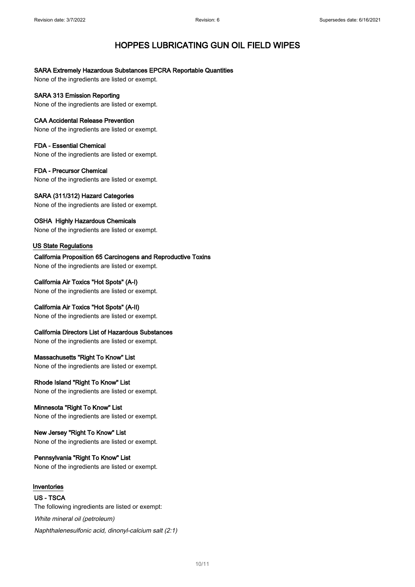### SARA Extremely Hazardous Substances EPCRA Reportable Quantities

None of the ingredients are listed or exempt.

SARA 313 Emission Reporting None of the ingredients are listed or exempt.

### CAA Accidental Release Prevention

None of the ingredients are listed or exempt.

FDA - Essential Chemical None of the ingredients are listed or exempt.

FDA - Precursor Chemical None of the ingredients are listed or exempt.

SARA (311/312) Hazard Categories None of the ingredients are listed or exempt.

OSHA Highly Hazardous Chemicals None of the ingredients are listed or exempt.

### US State Regulations

California Proposition 65 Carcinogens and Reproductive Toxins None of the ingredients are listed or exempt.

California Air Toxics "Hot Spots" (A-I)

None of the ingredients are listed or exempt.

California Air Toxics "Hot Spots" (A-II)

None of the ingredients are listed or exempt.

California Directors List of Hazardous Substances

None of the ingredients are listed or exempt.

Massachusetts "Right To Know" List

None of the ingredients are listed or exempt.

Rhode Island "Right To Know" List

None of the ingredients are listed or exempt.

### Minnesota "Right To Know" List

None of the ingredients are listed or exempt.

New Jersey "Right To Know" List

None of the ingredients are listed or exempt.

### Pennsylvania "Right To Know" List

None of the ingredients are listed or exempt.

### Inventories

US - TSCA The following ingredients are listed or exempt: White mineral oil (petroleum) Naphthalenesulfonic acid, dinonyl-calcium salt (2:1)